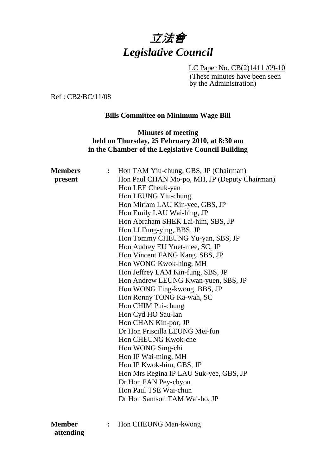# 立法會 *Legislative Council*

LC Paper No. CB(2)1411 /09-10 (These minutes have been seen by the Administration)

Ref : CB2/BC/11/08

#### **Bills Committee on Minimum Wage Bill**

### **Minutes of meeting held on Thursday, 25 February 2010, at 8:30 am in the Chamber of the Legislative Council Building**

| <b>Members</b> | $\ddot{\cdot}$ | Hon TAM Yiu-chung, GBS, JP (Chairman)         |
|----------------|----------------|-----------------------------------------------|
| present        |                | Hon Paul CHAN Mo-po, MH, JP (Deputy Chairman) |
|                |                | Hon LEE Cheuk-yan                             |
|                |                | Hon LEUNG Yiu-chung                           |
|                |                | Hon Miriam LAU Kin-yee, GBS, JP               |
|                |                | Hon Emily LAU Wai-hing, JP                    |
|                |                | Hon Abraham SHEK Lai-him, SBS, JP             |
|                |                | Hon LI Fung-ying, BBS, JP                     |
|                |                | Hon Tommy CHEUNG Yu-yan, SBS, JP              |
|                |                | Hon Audrey EU Yuet-mee, SC, JP                |
|                |                | Hon Vincent FANG Kang, SBS, JP                |
|                |                | Hon WONG Kwok-hing, MH                        |
|                |                | Hon Jeffrey LAM Kin-fung, SBS, JP             |
|                |                | Hon Andrew LEUNG Kwan-yuen, SBS, JP           |
|                |                | Hon WONG Ting-kwong, BBS, JP                  |
|                |                | Hon Ronny TONG Ka-wah, SC                     |
|                |                | Hon CHIM Pui-chung                            |
|                |                | Hon Cyd HO Sau-lan                            |
|                |                | Hon CHAN Kin-por, JP                          |
|                |                | Dr Hon Priscilla LEUNG Mei-fun                |
|                |                | Hon CHEUNG Kwok-che                           |
|                |                | Hon WONG Sing-chi                             |
|                |                | Hon IP Wai-ming, MH                           |
|                |                | Hon IP Kwok-him, GBS, JP                      |
|                |                | Hon Mrs Regina IP LAU Suk-yee, GBS, JP        |
|                |                | Dr Hon PAN Pey-chyou                          |
|                |                | Hon Paul TSE Wai-chun                         |
|                |                | Dr Hon Samson TAM Wai-ho, JP                  |
|                |                |                                               |
| <b>Member</b>  |                | Hon CHEUNG Man-kwong                          |

 **attending**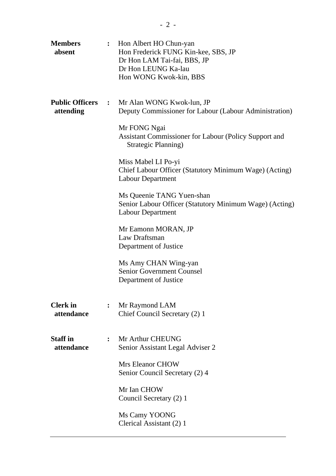| <b>Members</b><br>absent              | $\ddot{\cdot}$ | Hon Albert HO Chun-yan<br>Hon Frederick FUNG Kin-kee, SBS, JP<br>Dr Hon LAM Tai-fai, BBS, JP<br>Dr Hon LEUNG Ka-lau<br>Hon WONG Kwok-kin, BBS |
|---------------------------------------|----------------|-----------------------------------------------------------------------------------------------------------------------------------------------|
| <b>Public Officers :</b><br>attending |                | Mr Alan WONG Kwok-lun, JP<br>Deputy Commissioner for Labour (Labour Administration)<br>Mr FONG Ngai                                           |
|                                       |                | Assistant Commissioner for Labour (Policy Support and<br>Strategic Planning)                                                                  |
|                                       |                | Miss Mabel LI Po-yi<br>Chief Labour Officer (Statutory Minimum Wage) (Acting)<br><b>Labour Department</b>                                     |
|                                       |                | Ms Queenie TANG Yuen-shan<br>Senior Labour Officer (Statutory Minimum Wage) (Acting)<br><b>Labour Department</b>                              |
|                                       |                | Mr Eamonn MORAN, JP<br>Law Draftsman<br>Department of Justice                                                                                 |
|                                       |                | Ms Amy CHAN Wing-yan<br><b>Senior Government Counsel</b><br>Department of Justice                                                             |
| <b>Clerk</b> in<br>attendance         | $\ddot{\cdot}$ | Mr Raymond LAM<br>Chief Council Secretary (2) 1                                                                                               |
| <b>Staff</b> in<br>attendance         | $\ddot{\cdot}$ | Mr Arthur CHEUNG<br>Senior Assistant Legal Adviser 2                                                                                          |
|                                       |                | <b>Mrs Eleanor CHOW</b><br>Senior Council Secretary (2) 4                                                                                     |
|                                       |                | Mr Ian CHOW<br>Council Secretary (2) 1                                                                                                        |
|                                       |                | Ms Camy YOONG<br>Clerical Assistant (2) 1                                                                                                     |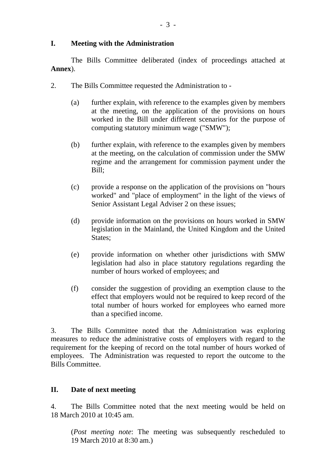#### **I. Meeting with the Administration**

1. The Bills Committee deliberated (index of proceedings attached at **Annex**).

- 2. The Bills Committee requested the Administration to
	- (a) further explain, with reference to the examples given by members at the meeting, on the application of the provisions on hours worked in the Bill under different scenarios for the purpose of computing statutory minimum wage ("SMW");
	- (b) further explain, with reference to the examples given by members at the meeting, on the calculation of commission under the SMW regime and the arrangement for commission payment under the Bill;
	- (c) provide a response on the application of the provisions on "hours worked" and "place of employment" in the light of the views of Senior Assistant Legal Adviser 2 on these issues;
	- (d) provide information on the provisions on hours worked in SMW legislation in the Mainland, the United Kingdom and the United States:
	- (e) provide information on whether other jurisdictions with SMW legislation had also in place statutory regulations regarding the number of hours worked of employees; and
	- (f) consider the suggestion of providing an exemption clause to the effect that employers would not be required to keep record of the total number of hours worked for employees who earned more than a specified income.

3. The Bills Committee noted that the Administration was exploring measures to reduce the administrative costs of employers with regard to the requirement for the keeping of record on the total number of hours worked of employees. The Administration was requested to report the outcome to the Bills Committee.

## **II. Date of next meeting**

4. The Bills Committee noted that the next meeting would be held on 18 March 2010 at 10:45 am.

(*Post meeting note*: The meeting was subsequently rescheduled to 19 March 2010 at 8:30 am.)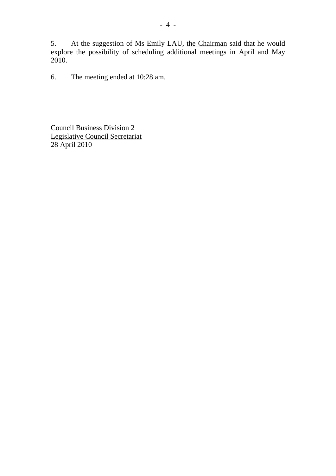5. At the suggestion of Ms Emily LAU, the Chairman said that he would explore the possibility of scheduling additional meetings in April and May 2010.

6. The meeting ended at 10:28 am.

Council Business Division 2 Legislative Council Secretariat 28 April 2010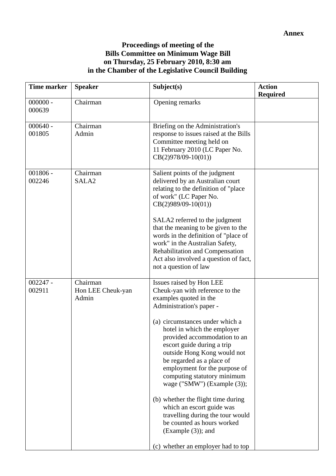## **Proceedings of meeting of the Bills Committee on Minimum Wage Bill on Thursday, 25 February 2010, 8:30 am in the Chamber of the Legislative Council Building**

| <b>Time marker</b>   | <b>Speaker</b>                         | Subject(s)                                                                                                                                                                                                                                                                                                                                                                                                                                                                                                                                                                                                       | <b>Action</b><br><b>Required</b> |
|----------------------|----------------------------------------|------------------------------------------------------------------------------------------------------------------------------------------------------------------------------------------------------------------------------------------------------------------------------------------------------------------------------------------------------------------------------------------------------------------------------------------------------------------------------------------------------------------------------------------------------------------------------------------------------------------|----------------------------------|
| $000000 -$<br>000639 | Chairman                               | Opening remarks                                                                                                                                                                                                                                                                                                                                                                                                                                                                                                                                                                                                  |                                  |
| $000640 -$<br>001805 | Chairman<br>Admin                      | Briefing on the Administration's<br>response to issues raised at the Bills<br>Committee meeting held on<br>11 February 2010 (LC Paper No.<br>$CB(2)978/09-10(01))$                                                                                                                                                                                                                                                                                                                                                                                                                                               |                                  |
| $001806 -$<br>002246 | Chairman<br>SALA <sub>2</sub>          | Salient points of the judgment<br>delivered by an Australian court<br>relating to the definition of "place"<br>of work" (LC Paper No.<br>$CB(2)989/09-10(01))$<br>SALA2 referred to the judgment<br>that the meaning to be given to the<br>words in the definition of "place of<br>work" in the Australian Safety,<br>Rehabilitation and Compensation<br>Act also involved a question of fact,<br>not a question of law                                                                                                                                                                                          |                                  |
| $002247 -$<br>002911 | Chairman<br>Hon LEE Cheuk-yan<br>Admin | Issues raised by Hon LEE<br>Cheuk-yan with reference to the<br>examples quoted in the<br>Administration's paper -<br>(a) circumstances under which a<br>hotel in which the employer<br>provided accommodation to an<br>escort guide during a trip<br>outside Hong Kong would not<br>be regarded as a place of<br>employment for the purpose of<br>computing statutory minimum<br>wage ("SMW") (Example (3));<br>(b) whether the flight time during<br>which an escort guide was<br>travelling during the tour would<br>be counted as hours worked<br>$(Example (3))$ ; and<br>(c) whether an employer had to top |                                  |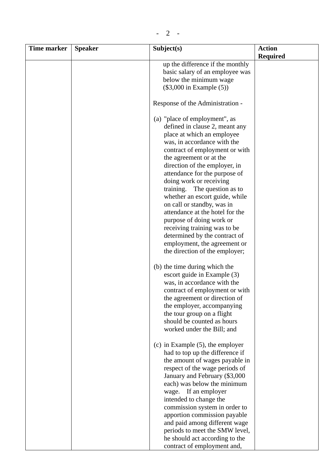| <b>Time marker</b> | <b>Speaker</b> | Subject(s)                                                                                                                                                                                                                                                                                                                                                                                                                                                                            | <b>Action</b>   |
|--------------------|----------------|---------------------------------------------------------------------------------------------------------------------------------------------------------------------------------------------------------------------------------------------------------------------------------------------------------------------------------------------------------------------------------------------------------------------------------------------------------------------------------------|-----------------|
|                    |                |                                                                                                                                                                                                                                                                                                                                                                                                                                                                                       | <b>Required</b> |
|                    |                | up the difference if the monthly                                                                                                                                                                                                                                                                                                                                                                                                                                                      |                 |
|                    |                | basic salary of an employee was                                                                                                                                                                                                                                                                                                                                                                                                                                                       |                 |
|                    |                | below the minimum wage                                                                                                                                                                                                                                                                                                                                                                                                                                                                |                 |
|                    |                | $(\$3,000$ in Example $(5)$ )                                                                                                                                                                                                                                                                                                                                                                                                                                                         |                 |
|                    |                | Response of the Administration -                                                                                                                                                                                                                                                                                                                                                                                                                                                      |                 |
|                    |                | (a) "place of employment", as<br>defined in clause 2, meant any<br>place at which an employee<br>was, in accordance with the<br>contract of employment or with<br>the agreement or at the<br>direction of the employer, in<br>attendance for the purpose of<br>doing work or receiving<br>training. The question as to<br>whether an escort guide, while<br>on call or standby, was in<br>attendance at the hotel for the<br>purpose of doing work or<br>receiving training was to be |                 |
|                    |                | determined by the contract of<br>employment, the agreement or<br>the direction of the employer;                                                                                                                                                                                                                                                                                                                                                                                       |                 |
|                    |                | (b) the time during which the<br>escort guide in Example (3)<br>was, in accordance with the<br>contract of employment or with<br>the agreement or direction of<br>the employer, accompanying<br>the tour group on a flight<br>should be counted as hours<br>worked under the Bill; and                                                                                                                                                                                                |                 |
|                    |                | $(c)$ in Example $(5)$ , the employer<br>had to top up the difference if<br>the amount of wages payable in<br>respect of the wage periods of<br>January and February (\$3,000<br>each) was below the minimum<br>wage. If an employer<br>intended to change the<br>commission system in order to<br>apportion commission payable<br>and paid among different wage<br>periods to meet the SMW level,<br>he should act according to the<br>contract of employment and,                   |                 |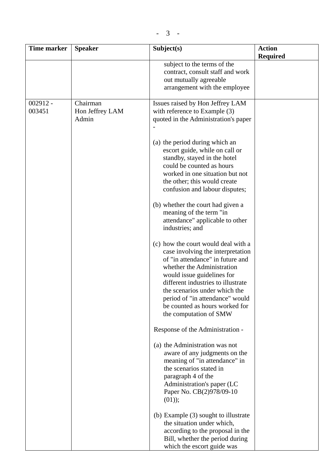| Time marker          | <b>Speaker</b>                       | Subject(s)                                                                                                                                                                                                                                                                                                                                               | <b>Action</b><br><b>Required</b> |
|----------------------|--------------------------------------|----------------------------------------------------------------------------------------------------------------------------------------------------------------------------------------------------------------------------------------------------------------------------------------------------------------------------------------------------------|----------------------------------|
|                      |                                      | subject to the terms of the<br>contract, consult staff and work<br>out mutually agreeable<br>arrangement with the employee                                                                                                                                                                                                                               |                                  |
| $002912 -$<br>003451 | Chairman<br>Hon Jeffrey LAM<br>Admin | Issues raised by Hon Jeffrey LAM<br>with reference to Example (3)<br>quoted in the Administration's paper                                                                                                                                                                                                                                                |                                  |
|                      |                                      | (a) the period during which an<br>escort guide, while on call or<br>standby, stayed in the hotel<br>could be counted as hours<br>worked in one situation but not<br>the other; this would create<br>confusion and labour disputes;<br>(b) whether the court had given a<br>meaning of the term "in<br>attendance" applicable to other<br>industries; and |                                  |
|                      |                                      | (c) how the court would deal with a<br>case involving the interpretation<br>of "in attendance" in future and<br>whether the Administration<br>would issue guidelines for<br>different industries to illustrate<br>the scenarios under which the<br>period of "in attendance" would<br>be counted as hours worked for<br>the computation of SMW           |                                  |
|                      |                                      | Response of the Administration -<br>(a) the Administration was not<br>aware of any judgments on the<br>meaning of "in attendance" in<br>the scenarios stated in<br>paragraph 4 of the<br>Administration's paper (LC<br>Paper No. CB(2)978/09-10<br>$(01)$ ;                                                                                              |                                  |
|                      |                                      | (b) Example (3) sought to illustrate<br>the situation under which,<br>according to the proposal in the<br>Bill, whether the period during<br>which the escort guide was                                                                                                                                                                                  |                                  |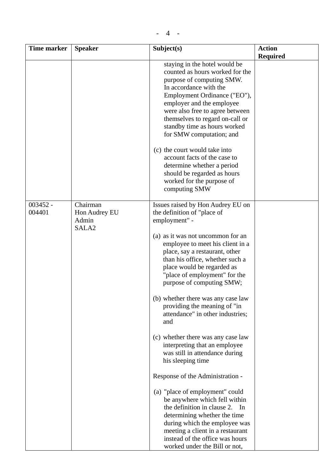| <b>Time marker</b>   | <b>Speaker</b>                                          | Subject(s)                                                                                                                                                                                                                                                                                                                                                                                                                                                                                                                                                                                                     | <b>Action</b>   |
|----------------------|---------------------------------------------------------|----------------------------------------------------------------------------------------------------------------------------------------------------------------------------------------------------------------------------------------------------------------------------------------------------------------------------------------------------------------------------------------------------------------------------------------------------------------------------------------------------------------------------------------------------------------------------------------------------------------|-----------------|
|                      |                                                         |                                                                                                                                                                                                                                                                                                                                                                                                                                                                                                                                                                                                                | <b>Required</b> |
|                      |                                                         | staying in the hotel would be<br>counted as hours worked for the<br>purpose of computing SMW.<br>In accordance with the<br>Employment Ordinance ("EO"),<br>employer and the employee<br>were also free to agree between<br>themselves to regard on-call or<br>standby time as hours worked<br>for SMW computation; and<br>(c) the court would take into<br>account facts of the case to<br>determine whether a period<br>should be regarded as hours                                                                                                                                                           |                 |
|                      |                                                         | worked for the purpose of<br>computing SMW                                                                                                                                                                                                                                                                                                                                                                                                                                                                                                                                                                     |                 |
| $003452 -$<br>004401 | Chairman<br>Hon Audrey EU<br>Admin<br>SALA <sub>2</sub> | Issues raised by Hon Audrey EU on<br>the definition of "place of<br>employment" -<br>(a) as it was not uncommon for an<br>employee to meet his client in a<br>place, say a restaurant, other<br>than his office, whether such a<br>place would be regarded as<br>"place of employment" for the<br>purpose of computing SMW;<br>(b) whether there was any case law<br>providing the meaning of "in<br>attendance" in other industries;<br>and<br>(c) whether there was any case law<br>interpreting that an employee<br>was still in attendance during<br>his sleeping time<br>Response of the Administration - |                 |
|                      |                                                         | (a) "place of employment" could<br>be anywhere which fell within<br>the definition in clause 2.<br>In<br>determining whether the time<br>during which the employee was<br>meeting a client in a restaurant<br>instead of the office was hours<br>worked under the Bill or not,                                                                                                                                                                                                                                                                                                                                 |                 |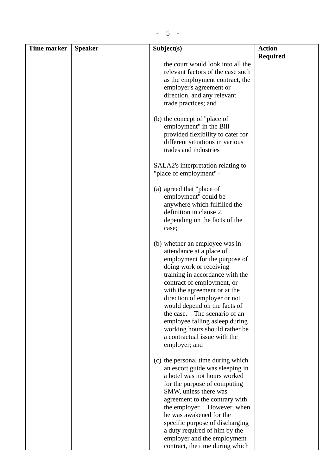| <b>Time marker</b> | <b>Speaker</b> | Subject(s)                                                                                                                                                                                                                                                                                                                                                                                                                                      | <b>Action</b>   |
|--------------------|----------------|-------------------------------------------------------------------------------------------------------------------------------------------------------------------------------------------------------------------------------------------------------------------------------------------------------------------------------------------------------------------------------------------------------------------------------------------------|-----------------|
|                    |                |                                                                                                                                                                                                                                                                                                                                                                                                                                                 | <b>Required</b> |
|                    |                | the court would look into all the<br>relevant factors of the case such<br>as the employment contract, the<br>employer's agreement or<br>direction, and any relevant<br>trade practices; and                                                                                                                                                                                                                                                     |                 |
|                    |                | (b) the concept of "place of"<br>employment" in the Bill<br>provided flexibility to cater for<br>different situations in various<br>trades and industries<br>SALA2's interpretation relating to                                                                                                                                                                                                                                                 |                 |
|                    |                | "place of employment" -<br>(a) agreed that "place of<br>employment" could be<br>anywhere which fulfilled the<br>definition in clause 2,<br>depending on the facts of the<br>case;                                                                                                                                                                                                                                                               |                 |
|                    |                | (b) whether an employee was in<br>attendance at a place of<br>employment for the purpose of<br>doing work or receiving<br>training in accordance with the<br>contract of employment, or<br>with the agreement or at the<br>direction of employer or not<br>would depend on the facts of<br>the case.<br>The scenario of an<br>employee falling asleep during<br>working hours should rather be<br>a contractual issue with the<br>employer; and |                 |
|                    |                | (c) the personal time during which<br>an escort guide was sleeping in<br>a hotel was not hours worked<br>for the purpose of computing<br>SMW, unless there was<br>agreement to the contrary with<br>the employer. However, when<br>he was awakened for the<br>specific purpose of discharging<br>a duty required of him by the<br>employer and the employment<br>contract, the time during which                                                |                 |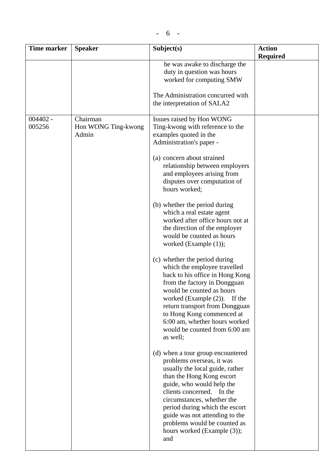| <b>Time marker</b>   | <b>Speaker</b>                           | Subject(s)                                                                                                                                                                                                                                                                                                                                                       | <b>Action</b><br><b>Required</b> |
|----------------------|------------------------------------------|------------------------------------------------------------------------------------------------------------------------------------------------------------------------------------------------------------------------------------------------------------------------------------------------------------------------------------------------------------------|----------------------------------|
|                      |                                          | he was awake to discharge the<br>duty in question was hours<br>worked for computing SMW<br>The Administration concurred with<br>the interpretation of SALA2                                                                                                                                                                                                      |                                  |
|                      |                                          |                                                                                                                                                                                                                                                                                                                                                                  |                                  |
| $004402 -$<br>005256 | Chairman<br>Hon WONG Ting-kwong<br>Admin | Issues raised by Hon WONG<br>Ting-kwong with reference to the<br>examples quoted in the<br>Administration's paper -<br>(a) concern about strained<br>relationship between employers<br>and employees arising from                                                                                                                                                |                                  |
|                      |                                          | disputes over computation of<br>hours worked;                                                                                                                                                                                                                                                                                                                    |                                  |
|                      |                                          | (b) whether the period during<br>which a real estate agent<br>worked after office hours not at<br>the direction of the employer<br>would be counted as hours<br>worked (Example $(1)$ );                                                                                                                                                                         |                                  |
|                      |                                          | (c) whether the period during<br>which the employee travelled<br>back to his office in Hong Kong<br>from the factory in Dongguan<br>would be counted as hours<br>worked (Example $(2)$ ). If the<br>return transport from Dongguan<br>to Hong Kong commenced at<br>6:00 am, whether hours worked<br>would be counted from 6:00 am<br>as well;                    |                                  |
|                      |                                          | (d) when a tour group encountered<br>problems overseas, it was<br>usually the local guide, rather<br>than the Hong Kong escort<br>guide, who would help the<br>clients concerned. In the<br>circumstances, whether the<br>period during which the escort<br>guide was not attending to the<br>problems would be counted as<br>hours worked (Example (3));<br>and |                                  |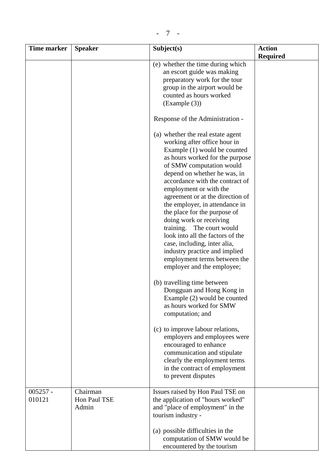| <b>Time marker</b> | <b>Speaker</b> | Subject(s)                                                         | <b>Action</b>   |
|--------------------|----------------|--------------------------------------------------------------------|-----------------|
|                    |                |                                                                    | <b>Required</b> |
|                    |                | (e) whether the time during which<br>an escort guide was making    |                 |
|                    |                | preparatory work for the tour                                      |                 |
|                    |                | group in the airport would be                                      |                 |
|                    |                | counted as hours worked                                            |                 |
|                    |                | (Example (3))                                                      |                 |
|                    |                | Response of the Administration -                                   |                 |
|                    |                | (a) whether the real estate agent<br>working after office hour in  |                 |
|                    |                | Example (1) would be counted                                       |                 |
|                    |                | as hours worked for the purpose                                    |                 |
|                    |                | of SMW computation would                                           |                 |
|                    |                | depend on whether he was, in                                       |                 |
|                    |                | accordance with the contract of                                    |                 |
|                    |                | employment or with the                                             |                 |
|                    |                | agreement or at the direction of<br>the employer, in attendance in |                 |
|                    |                | the place for the purpose of                                       |                 |
|                    |                | doing work or receiving                                            |                 |
|                    |                | training. The court would                                          |                 |
|                    |                | look into all the factors of the                                   |                 |
|                    |                | case, including, inter alia,                                       |                 |
|                    |                | industry practice and implied                                      |                 |
|                    |                | employment terms between the                                       |                 |
|                    |                | employer and the employee;                                         |                 |
|                    |                | (b) travelling time between                                        |                 |
|                    |                | Dongguan and Hong Kong in                                          |                 |
|                    |                | Example (2) would be counted                                       |                 |
|                    |                | as hours worked for SMW                                            |                 |
|                    |                | computation; and                                                   |                 |
|                    |                | (c) to improve labour relations,                                   |                 |
|                    |                | employers and employees were                                       |                 |
|                    |                | encouraged to enhance                                              |                 |
|                    |                | communication and stipulate                                        |                 |
|                    |                | clearly the employment terms                                       |                 |
|                    |                | in the contract of employment                                      |                 |
|                    |                | to prevent disputes                                                |                 |
| $005257 -$         | Chairman       | Issues raised by Hon Paul TSE on                                   |                 |
| 010121             | Hon Paul TSE   | the application of "hours worked"                                  |                 |
|                    | Admin          | and "place of employment" in the                                   |                 |
|                    |                | tourism industry -                                                 |                 |
|                    |                | (a) possible difficulties in the                                   |                 |
|                    |                | computation of SMW would be                                        |                 |
|                    |                | encountered by the tourism                                         |                 |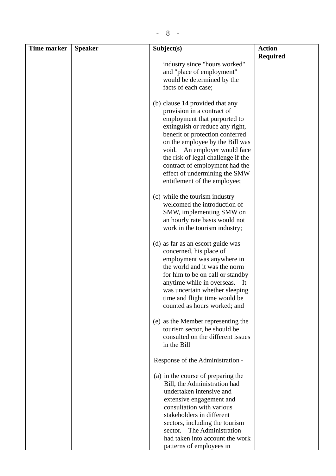| Time marker | <b>Speaker</b> | Subject(s)                                                                                                                                                                                                                                                                                                                                                                      | <b>Action</b><br><b>Required</b> |
|-------------|----------------|---------------------------------------------------------------------------------------------------------------------------------------------------------------------------------------------------------------------------------------------------------------------------------------------------------------------------------------------------------------------------------|----------------------------------|
|             |                | industry since "hours worked"<br>and "place of employment"<br>would be determined by the<br>facts of each case;                                                                                                                                                                                                                                                                 |                                  |
|             |                | (b) clause 14 provided that any<br>provision in a contract of<br>employment that purported to<br>extinguish or reduce any right,<br>benefit or protection conferred<br>on the employee by the Bill was<br>void. An employer would face<br>the risk of legal challenge if the<br>contract of employment had the<br>effect of undermining the SMW<br>entitlement of the employee; |                                  |
|             |                | (c) while the tourism industry<br>welcomed the introduction of<br>SMW, implementing SMW on<br>an hourly rate basis would not<br>work in the tourism industry;                                                                                                                                                                                                                   |                                  |
|             |                | (d) as far as an escort guide was<br>concerned, his place of<br>employment was anywhere in<br>the world and it was the norm<br>for him to be on call or standby<br>anytime while in overseas.<br>- It<br>was uncertain whether sleeping<br>time and flight time would be<br>counted as hours worked; and                                                                        |                                  |
|             |                | (e) as the Member representing the<br>tourism sector, he should be<br>consulted on the different issues<br>in the Bill                                                                                                                                                                                                                                                          |                                  |
|             |                | Response of the Administration -                                                                                                                                                                                                                                                                                                                                                |                                  |
|             |                | (a) in the course of preparing the<br>Bill, the Administration had<br>undertaken intensive and<br>extensive engagement and<br>consultation with various<br>stakeholders in different<br>sectors, including the tourism                                                                                                                                                          |                                  |
|             |                | The Administration<br>sector.<br>had taken into account the work<br>patterns of employees in                                                                                                                                                                                                                                                                                    |                                  |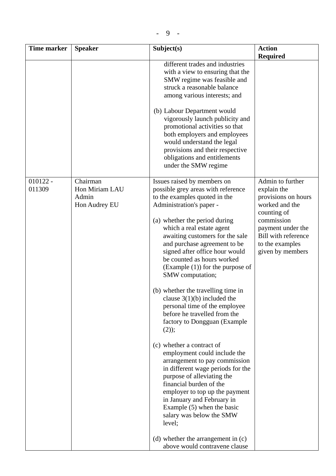| <b>Time marker</b>   | <b>Speaker</b>                                       | Subject(s)                                                                                                                                                                                                                                                                                                                                                                                                                                                                                                                                                                                                                                                                                                                                                                                                                                                                                                                                                                         | <b>Action</b>                                                                                                                                                                            |
|----------------------|------------------------------------------------------|------------------------------------------------------------------------------------------------------------------------------------------------------------------------------------------------------------------------------------------------------------------------------------------------------------------------------------------------------------------------------------------------------------------------------------------------------------------------------------------------------------------------------------------------------------------------------------------------------------------------------------------------------------------------------------------------------------------------------------------------------------------------------------------------------------------------------------------------------------------------------------------------------------------------------------------------------------------------------------|------------------------------------------------------------------------------------------------------------------------------------------------------------------------------------------|
|                      |                                                      | different trades and industries<br>with a view to ensuring that the<br>SMW regime was feasible and<br>struck a reasonable balance<br>among various interests; and<br>(b) Labour Department would<br>vigorously launch publicity and<br>promotional activities so that<br>both employers and employees<br>would understand the legal<br>provisions and their respective<br>obligations and entitlements<br>under the SMW regime                                                                                                                                                                                                                                                                                                                                                                                                                                                                                                                                                     | <b>Required</b>                                                                                                                                                                          |
| $010122 -$<br>011309 | Chairman<br>Hon Miriam LAU<br>Admin<br>Hon Audrey EU | Issues raised by members on<br>possible grey areas with reference<br>to the examples quoted in the<br>Administration's paper -<br>(a) whether the period during<br>which a real estate agent<br>awaiting customers for the sale<br>and purchase agreement to be<br>signed after office hour would<br>be counted as hours worked<br>$(Example (1))$ for the purpose of<br>SMW computation;<br>(b) whether the travelling time in<br>clause $3(1)(b)$ included the<br>personal time of the employee<br>before he travelled from the<br>factory to Dongguan (Example<br>(2);<br>(c) whether a contract of<br>employment could include the<br>arrangement to pay commission<br>in different wage periods for the<br>purpose of alleviating the<br>financial burden of the<br>employer to top up the payment<br>in January and February in<br>Example $(5)$ when the basic<br>salary was below the SMW<br>level;<br>(d) whether the arrangement in (c)<br>above would contravene clause | Admin to further<br>explain the<br>provisions on hours<br>worked and the<br>counting of<br>commission<br>payment under the<br>Bill with reference<br>to the examples<br>given by members |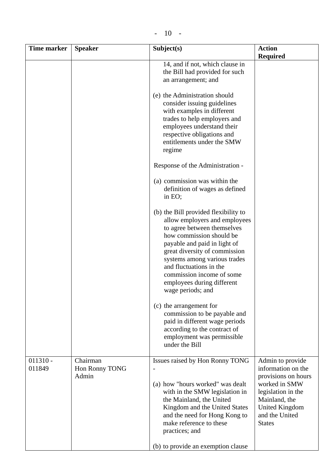| ۰. |
|----|
|----|

| Time marker          | <b>Speaker</b>                      | Subject(s)                                                                                                                                                                                                                                                                                                                                   | <b>Action</b><br><b>Required</b>                                                                                                                                           |
|----------------------|-------------------------------------|----------------------------------------------------------------------------------------------------------------------------------------------------------------------------------------------------------------------------------------------------------------------------------------------------------------------------------------------|----------------------------------------------------------------------------------------------------------------------------------------------------------------------------|
|                      |                                     | 14, and if not, which clause in<br>the Bill had provided for such<br>an arrangement; and                                                                                                                                                                                                                                                     |                                                                                                                                                                            |
|                      |                                     | (e) the Administration should<br>consider issuing guidelines<br>with examples in different<br>trades to help employers and<br>employees understand their<br>respective obligations and<br>entitlements under the SMW<br>regime                                                                                                               |                                                                                                                                                                            |
|                      |                                     | Response of the Administration -                                                                                                                                                                                                                                                                                                             |                                                                                                                                                                            |
|                      |                                     | (a) commission was within the<br>definition of wages as defined<br>in EO;                                                                                                                                                                                                                                                                    |                                                                                                                                                                            |
|                      |                                     | (b) the Bill provided flexibility to<br>allow employers and employees<br>to agree between themselves<br>how commission should be<br>payable and paid in light of<br>great diversity of commission<br>systems among various trades<br>and fluctuations in the<br>commission income of some<br>employees during different<br>wage periods; and |                                                                                                                                                                            |
|                      |                                     | (c) the arrangement for<br>commission to be payable and<br>paid in different wage periods<br>according to the contract of<br>employment was permissible<br>under the Bill                                                                                                                                                                    |                                                                                                                                                                            |
| $011310 -$<br>011849 | Chairman<br>Hon Ronny TONG<br>Admin | Issues raised by Hon Ronny TONG<br>(a) how "hours worked" was dealt<br>with in the SMW legislation in<br>the Mainland, the United<br>Kingdom and the United States<br>and the need for Hong Kong to<br>make reference to these<br>practices; and                                                                                             | Admin to provide<br>information on the<br>provisions on hours<br>worked in SMW<br>legislation in the<br>Mainland, the<br>United Kingdom<br>and the United<br><b>States</b> |
|                      |                                     | (b) to provide an exemption clause                                                                                                                                                                                                                                                                                                           |                                                                                                                                                                            |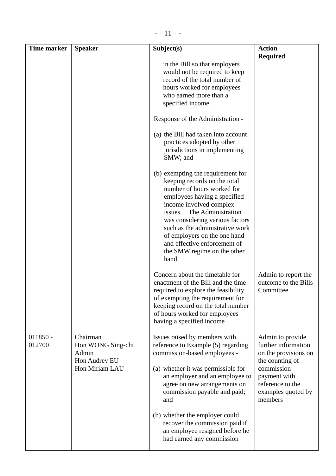|--|

| <b>Time marker</b>   | <b>Speaker</b>                                                            | Subject(s)                                                                                                                                                                                                                                                                                                                                                               | <b>Action</b><br><b>Required</b>                                                                                                                                      |
|----------------------|---------------------------------------------------------------------------|--------------------------------------------------------------------------------------------------------------------------------------------------------------------------------------------------------------------------------------------------------------------------------------------------------------------------------------------------------------------------|-----------------------------------------------------------------------------------------------------------------------------------------------------------------------|
|                      |                                                                           | in the Bill so that employers<br>would not be required to keep<br>record of the total number of<br>hours worked for employees<br>who earned more than a<br>specified income                                                                                                                                                                                              |                                                                                                                                                                       |
|                      |                                                                           | Response of the Administration -                                                                                                                                                                                                                                                                                                                                         |                                                                                                                                                                       |
|                      |                                                                           | (a) the Bill had taken into account<br>practices adopted by other<br>jurisdictions in implementing<br>SMW; and                                                                                                                                                                                                                                                           |                                                                                                                                                                       |
|                      |                                                                           | (b) exempting the requirement for<br>keeping records on the total<br>number of hours worked for<br>employees having a specified<br>income involved complex<br>The Administration<br>issues.<br>was considering various factors<br>such as the administrative work<br>of employers on the one hand<br>and effective enforcement of<br>the SMW regime on the other<br>hand |                                                                                                                                                                       |
|                      |                                                                           | Concern about the timetable for<br>enactment of the Bill and the time<br>required to explore the feasibility<br>of exempting the requirement for<br>keeping record on the total number<br>of hours worked for employees<br>having a specified income                                                                                                                     | Admin to report the<br>outcome to the Bills<br>Committee                                                                                                              |
| $011850 -$<br>012700 | Chairman<br>Hon WONG Sing-chi<br>Admin<br>Hon Audrey EU<br>Hon Miriam LAU | Issues raised by members with<br>reference to Example (5) regarding<br>commission-based employees -<br>(a) whether it was permissible for<br>an employer and an employee to<br>agree on new arrangements on<br>commission payable and paid;<br>and                                                                                                                       | Admin to provide<br>further information<br>on the provisions on<br>the counting of<br>commission<br>payment with<br>reference to the<br>examples quoted by<br>members |
|                      |                                                                           | (b) whether the employer could<br>recover the commission paid if<br>an employee resigned before he<br>had earned any commission                                                                                                                                                                                                                                          |                                                                                                                                                                       |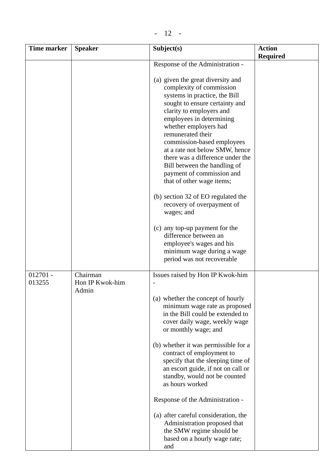|--|--|

| <b>Time marker</b>   | <b>Speaker</b>                       | Subject(s)                                                                                                                                                                                                                                            | <b>Action</b>   |
|----------------------|--------------------------------------|-------------------------------------------------------------------------------------------------------------------------------------------------------------------------------------------------------------------------------------------------------|-----------------|
|                      |                                      |                                                                                                                                                                                                                                                       | <b>Required</b> |
|                      |                                      | Response of the Administration -<br>(a) given the great diversity and<br>complexity of commission<br>systems in practice, the Bill<br>sought to ensure certainty and<br>clarity to employers and<br>employees in determining<br>whether employers had |                 |
|                      |                                      | remunerated their<br>commission-based employees<br>at a rate not below SMW, hence<br>there was a difference under the<br>Bill between the handling of<br>payment of commission and<br>that of other wage items;                                       |                 |
|                      |                                      | (b) section 32 of EO regulated the<br>recovery of overpayment of<br>wages; and                                                                                                                                                                        |                 |
|                      |                                      | (c) any top-up payment for the<br>difference between an<br>employee's wages and his<br>minimum wage during a wage<br>period was not recoverable                                                                                                       |                 |
| $012701 -$<br>013255 | Chairman<br>Hon IP Kwok-him<br>Admin | Issues raised by Hon IP Kwok-him                                                                                                                                                                                                                      |                 |
|                      |                                      | (a) whether the concept of hourly<br>minimum wage rate as proposed<br>in the Bill could be extended to<br>cover daily wage, weekly wage<br>or monthly wage; and                                                                                       |                 |
|                      |                                      | (b) whether it was permissible for a<br>contract of employment to<br>specify that the sleeping time of<br>an escort guide, if not on call or<br>standby, would not be counted<br>as hours worked                                                      |                 |
|                      |                                      | Response of the Administration -                                                                                                                                                                                                                      |                 |
|                      |                                      | (a) after careful consideration, the<br>Administration proposed that<br>the SMW regime should be<br>based on a hourly wage rate;<br>and                                                                                                               |                 |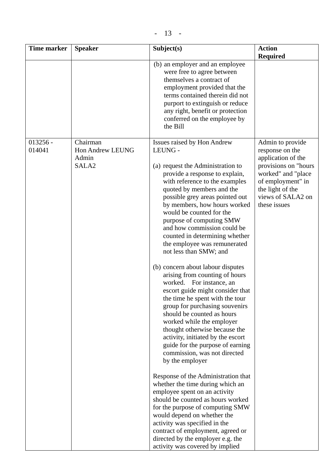| <b>Time marker</b>   | <b>Speaker</b>                                             | Subject(s)                                                                                                                                                                                                                                                                                                                                                                                                                                                                                                                                                                                                                                                                                                                                                                                                                                                             | <b>Action</b><br><b>Required</b>                                                                                                                                                      |
|----------------------|------------------------------------------------------------|------------------------------------------------------------------------------------------------------------------------------------------------------------------------------------------------------------------------------------------------------------------------------------------------------------------------------------------------------------------------------------------------------------------------------------------------------------------------------------------------------------------------------------------------------------------------------------------------------------------------------------------------------------------------------------------------------------------------------------------------------------------------------------------------------------------------------------------------------------------------|---------------------------------------------------------------------------------------------------------------------------------------------------------------------------------------|
|                      |                                                            | (b) an employer and an employee<br>were free to agree between<br>themselves a contract of<br>employment provided that the<br>terms contained therein did not<br>purport to extinguish or reduce<br>any right, benefit or protection<br>conferred on the employee by<br>the Bill                                                                                                                                                                                                                                                                                                                                                                                                                                                                                                                                                                                        |                                                                                                                                                                                       |
| $013256 -$<br>014041 | Chairman<br>Hon Andrew LEUNG<br>Admin<br>SALA <sub>2</sub> | Issues raised by Hon Andrew<br>LEUNG -<br>(a) request the Administration to<br>provide a response to explain,<br>with reference to the examples<br>quoted by members and the<br>possible grey areas pointed out<br>by members, how hours worked<br>would be counted for the<br>purpose of computing SMW<br>and how commission could be<br>counted in determining whether<br>the employee was remunerated<br>not less than SMW; and<br>(b) concern about labour disputes<br>arising from counting of hours<br>worked. For instance, an<br>escort guide might consider that<br>the time he spent with the tour<br>group for purchasing souvenirs<br>should be counted as hours<br>worked while the employer<br>thought otherwise because the<br>activity, initiated by the escort<br>guide for the purpose of earning<br>commission, was not directed<br>by the employer | Admin to provide<br>response on the<br>application of the<br>provisions on "hours<br>worked" and "place<br>of employment" in<br>the light of the<br>views of SALA2 on<br>these issues |
|                      |                                                            | Response of the Administration that<br>whether the time during which an<br>employee spent on an activity<br>should be counted as hours worked<br>for the purpose of computing SMW<br>would depend on whether the<br>activity was specified in the<br>contract of employment, agreed or<br>directed by the employer e.g. the<br>activity was covered by implied                                                                                                                                                                                                                                                                                                                                                                                                                                                                                                         |                                                                                                                                                                                       |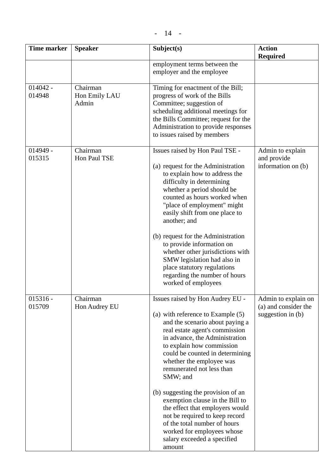| <b>Time marker</b>   | <b>Speaker</b>                     | Subject(s)                                                                                                                                                                                                                                                                                                                                                                                                                                                                                                                                                               | <b>Action</b><br><b>Required</b>                                 |
|----------------------|------------------------------------|--------------------------------------------------------------------------------------------------------------------------------------------------------------------------------------------------------------------------------------------------------------------------------------------------------------------------------------------------------------------------------------------------------------------------------------------------------------------------------------------------------------------------------------------------------------------------|------------------------------------------------------------------|
|                      |                                    | employment terms between the<br>employer and the employee                                                                                                                                                                                                                                                                                                                                                                                                                                                                                                                |                                                                  |
| $014042 -$<br>014948 | Chairman<br>Hon Emily LAU<br>Admin | Timing for enactment of the Bill;<br>progress of work of the Bills<br>Committee; suggestion of<br>scheduling additional meetings for<br>the Bills Committee; request for the<br>Administration to provide responses<br>to issues raised by members                                                                                                                                                                                                                                                                                                                       |                                                                  |
| $014949 -$<br>015315 | Chairman<br>Hon Paul TSE           | Issues raised by Hon Paul TSE -<br>(a) request for the Administration<br>to explain how to address the<br>difficulty in determining<br>whether a period should be<br>counted as hours worked when<br>"place of employment" might<br>easily shift from one place to<br>another; and<br>(b) request for the Administration<br>to provide information on<br>whether other jurisdictions with<br>SMW legislation had also in<br>place statutory regulations<br>regarding the number of hours<br>worked of employees                                                          | Admin to explain<br>and provide<br>information on (b)            |
| $015316 -$<br>015709 | Chairman<br>Hon Audrey EU          | Issues raised by Hon Audrey EU -<br>(a) with reference to Example $(5)$<br>and the scenario about paying a<br>real estate agent's commission<br>in advance, the Administration<br>to explain how commission<br>could be counted in determining<br>whether the employee was<br>remunerated not less than<br>SMW; and<br>(b) suggesting the provision of an<br>exemption clause in the Bill to<br>the effect that employers would<br>not be required to keep record<br>of the total number of hours<br>worked for employees whose<br>salary exceeded a specified<br>amount | Admin to explain on<br>(a) and consider the<br>suggestion in (b) |